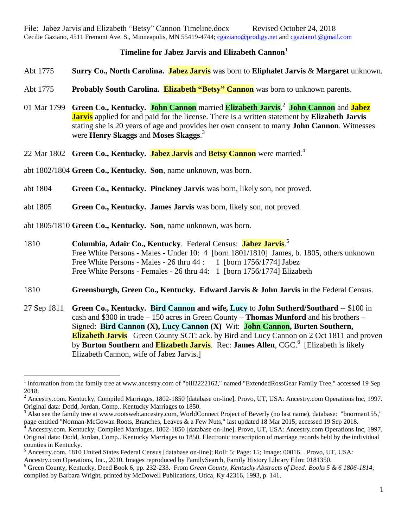## **Timeline for Jabez Jarvis and Elizabeth Cannon**

- Abt 1775 **Surry Co., North Carolina. Jabez Jarvis** was born to **Eliphalet Jarvis** & **Margaret** unknown.
- Abt 1775 **Probably South Carolina. Elizabeth "Betsy" Cannon** was born to unknown parents.
- 01 Mar 1799 **Green Co., Kentucky. John Cannon** married **Elizabeth Jarvis**. 2 **John Cannon** and **Jabez Jarvis** applied for and paid for the license. There is a written statement by **Elizabeth Jarvis** stating she is 20 years of age and provides her own consent to marry **John Cannon**. Witnesses were **Henry Skaggs** and **Moses Skaggs**. 3
- 22 Mar 1802 **Green Co., Kentucky. Jabez Jarvis** and **Betsy Cannon** were married.<sup>4</sup>
- abt 1802/1804 **Green Co., Kentucky. Son**, name unknown, was born.
- abt 1804 **Green Co., Kentucky. Pinckney Jarvis** was born, likely son, not proved.
- abt 1805 **Green Co., Kentucky. James Jarvis** was born, likely son, not proved.
- abt 1805/1810 **Green Co., Kentucky. Son**, name unknown, was born.

 $\overline{a}$ 

- 1810 **Columbia, Adair Co., Kentucky**. Federal Census: **Jabez Jarvis**. 5 Free White Persons - Males - Under 10: 4 [born 1801/1810] James, b. 1805, others unknown Free White Persons - Males -  $26$  thru  $44:1$  [born 1756/1774] Jabez Free White Persons - Females - 26 thru 44: 1 [born 1756/1774] Elizabeth
- 1810 **Greensburgh, Green Co., Kentucky. Edward Jarvis & John Jarvis** in the Federal Census.
- 27 Sep 1811 **Green Co., Kentucky. Bird Cannon and wife, Lucy** to **John Sutherd/Southard** -- \$100 in cash and \$300 in trade – 150 acres in Green County – **Thomas Munford** and his brothers – Signed: **Bird Cannon (X), Lucy Cannon (X)** Wit: **John Cannon, Burten Southern, Elizabeth Jarvis** Green County SCT: ack. by Bird and Lucy Cannon on 2 Oct 1811 and proven by **Burton Southern** and **Elizabeth Jarvis**. Rec: James Allen, CGC.<sup>6</sup> [Elizabeth is likely Elizabeth Cannon, wife of Jabez Jarvis.]

<sup>&</sup>lt;sup>1</sup> information from the family tree at www.ancestry.com of "bill2222162," named "ExtendedRossGear Family Tree," accessed 19 Sep 2018.

 $^2$  Ancestry.com. Kentucky, Compiled Marriages, 1802-1850 [database on-line]. Provo, UT, USA: Ancestry.com Operations Inc, 1997. Original data: Dodd, Jordan, Comp.. Kentucky Marriages to 1850.

<sup>3</sup> Also see the family tree at www.rootsweb.ancestry.com, WorldConnect Project of Beverly (no last name), database: "bnorman155," page entitled "Norman-McGowan Roots, Branches, Leaves & a Few Nuts," last updated 18 Mar 2015; accessed 19 Sep 2018.

<sup>4</sup> Ancestry.com. Kentucky, Compiled Marriages, 1802-1850 [database on-line]. Provo, UT, USA: Ancestry.com Operations Inc, 1997. Original data: Dodd, Jordan, Comp.. Kentucky Marriages to 1850. Electronic transcription of marriage records held by the individual counties in Kentucky.

<sup>5</sup> Ancestry.com. 1810 United States Federal Census [database on-line]; Roll: 5; Page: 15; Image: 00016. . Provo, UT, USA: Ancestry.com Operations, Inc., 2010. Images reproduced by FamilySearch, Family History Library Film: 0181350.

<sup>6</sup> Green County, Kentucky, Deed Book 6, pp. 232-233. From *Green County, Kentucky Abstracts of Deed: Books 5 & 6 1806-1814*, compiled by Barbara Wright, printed by McDowell Publications, Utica, Ky 42316, 1993, p. 141.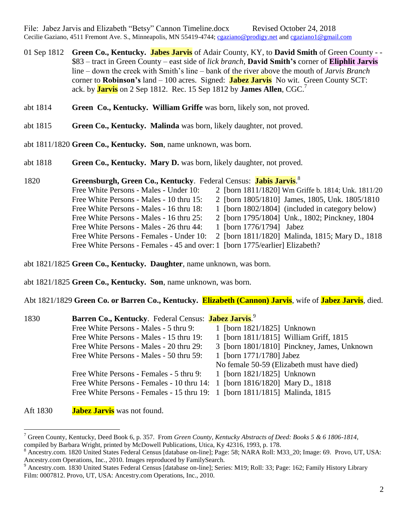File: Jabez Jarvis and Elizabeth "Betsy" Cannon Timeline.docx Revised October 24, 2018 Cecilie Gaziano, 4511 Fremont Ave. S., Minneapolis, MN 55419-4744; [cgaziano@prodigy.net](mailto:cgaziano@prodigy.net) and [cgaziano1@gmail.com](mailto:cgaziano1@gmail.com)

- 01 Sep 1812 **Green Co., Kentucky. Jabes Jarvis** of Adair County, KY, to **David Smith** of Green County - \$83 – tract in Green County – east side of *lick branch*, **David Smith's** corner of **Eliphlit Jarvis** line – down the creek with Smith's line – bank of the river above the mouth of *Jarvis Branch* corner to **Robinson's** land – 100 acres. Signed: **Jabez Jarvis** No wit. Green County SCT: ack. by **Jarvis** on 2 Sep 1812. Rec. 15 Sep 1812 by **James Allen**, CGC.<sup>7</sup>
- abt 1814 **Green Co., Kentucky. William Griffe** was born, likely son, not proved.
- abt 1815 **Green Co., Kentucky. Malinda** was born, likely daughter, not proved.
- abt 1811/1820 **Green Co., Kentucky. Son**, name unknown, was born.
- abt 1818 **Green Co., Kentucky. Mary D.** was born, likely daughter, not proved.
- 1820 **Greensburgh, Green Co., Kentucky**. Federal Census: **Jabis Jarvis**. 8 Free White Persons - Males - Under 10: 2 [born 1811/1820] Wm Griffe b. 1814; Unk. 1811/20 Free White Persons - Males - 10 thru 15: 2 [born 1805/1810] James, 1805, Unk. 1805/1810 Free White Persons - Males - 16 thru 18: 1 [born 1802/1804] (included in category below) Free White Persons - Males - 16 thru 25: 2 [born 1795/1804] Unk., 1802; Pinckney, 1804 Free White Persons - Males - 26 thru 44: 1 [born 1776/1794] Jabez Free White Persons - Females - Under 10: 2 [born 1811/1820] Malinda, 1815; Mary D., 1818 Free White Persons - Females - 45 and over: 1 [born 1775/earlier] Elizabeth?
- abt 1821/1825 **Green Co., Kentucky. Daughter**, name unknown, was born.
- abt 1821/1825 **Green Co., Kentucky. Son**, name unknown, was born.

Abt 1821/1829 **Green Co. or Barren Co., Kentucky. Elizabeth (Cannon) Jarvis**, wife of **Jabez Jarvis**, died.

| 1830 | Barren Co., Kentucky. Federal Census: Jabez Jarvis. <sup>9</sup>            |                                             |
|------|-----------------------------------------------------------------------------|---------------------------------------------|
|      | Free White Persons - Males - 5 thru 9:                                      | 1 [born 1821/1825] Unknown                  |
|      | Free White Persons - Males - 15 thru 19:                                    | 1 [born 1811/1815] William Griff, 1815      |
|      | Free White Persons - Males - 20 thru 29:                                    | 3 [born 1801/1810] Pinckney, James, Unknown |
|      | Free White Persons - Males - 50 thru 59:                                    | 1 [born 1771/1780] Jabez                    |
|      |                                                                             | No female 50-59 (Elizabeth must have died)  |
|      | Free White Persons - Females - 5 thru 9:                                    | 1 [born 1821/1825] Unknown                  |
|      | Free White Persons - Females - 10 thru 14: 1 [born 1816/1820] Mary D., 1818 |                                             |
|      | Free White Persons - Females - 15 thru 19: 1 [born 1811/1815] Malinda, 1815 |                                             |
|      |                                                                             |                                             |

Aft 1830 **Jabez Jarvis** was not found.

 $\overline{a}$ 

<sup>7</sup> Green County, Kentucky, Deed Book 6, p. 357. From *Green County, Kentucky Abstracts of Deed: Books 5 & 6 1806-1814*,

compiled by Barbara Wright, printed by McDowell Publications, Utica, Ky 42316, 1993, p. 178.

<sup>&</sup>lt;sup>8</sup> Ancestry.com. 1820 United States Federal Census [database on-line]; Page: 58; NARA Roll: M33 20; Image: 69. Provo, UT, USA: Ancestry.com Operations, Inc., 2010. Images reproduced by FamilySearch.

<sup>&</sup>lt;sup>9</sup> Ancestry.com. 1830 United States Federal Census [database on-line]; Series: M19; Roll: 33; Page: 162; Family History Library Film: 0007812. Provo, UT, USA: Ancestry.com Operations, Inc., 2010.